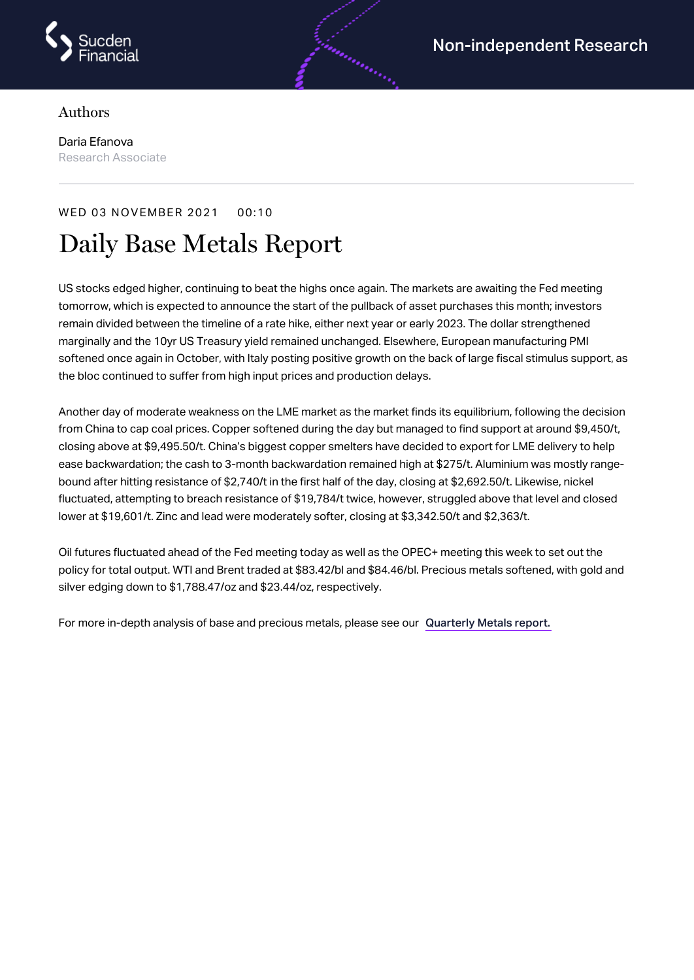

## Authors

Daria Efanova Research Associate

## WED 03 NOVEMBER 2021 00:10

# Daily Base Metals Report

US stocks edged higher, continuing to beat the highs once again. The markets are awaiting the Fed meeting tomorrow, which is expected to announce the start of the pullback of asset purchases this month; investors remain divided between the timeline of a rate hike, either next year or early 2023. The dollar strengthened marginally and the 10yr US Treasury yield remained unchanged. Elsewhere, European manufacturing PMI softened once again in October, with Italy posting positive growth on the back of large fiscal stimulus support, as the bloc continued to suffer from high input prices and production delays.

andra and a

Another day of moderate weakness on the LME market as the market finds its equilibrium, following the decision from China to cap coal prices. Copper softened during the day but managed to find support at around \$9,450/t, closing above at \$9,495.50/t. China's biggest copper smelters have decided to export for LME delivery to help ease backwardation; the cash to 3-month backwardation remained high at \$275/t. Aluminium was mostly rangebound after hitting resistance of \$2,740/t in the first half of the day, closing at \$2,692.50/t. Likewise, nickel fluctuated, attempting to breach resistance of \$19,784/t twice, however, struggled above that level and closed lower at \$19,601/t. Zinc and lead were moderately softer, closing at \$3,342.50/t and \$2,363/t.

Oil futures fluctuated ahead of the Fed meeting today as well as the OPEC+ meeting this week to set out the policy for total output. WTI and Brent traded at \$83.42/bl and \$84.46/bl. Precious metals softened, with gold and silver edging down to \$1,788.47/oz and \$23.44/oz, respectively.

For more in-depth analysis of base and precious metals, please see our [Quarterly](https://www.sucdenfinancial.com/en/reports/quarterly-metals/qmr-q4-2021/) Metals report.